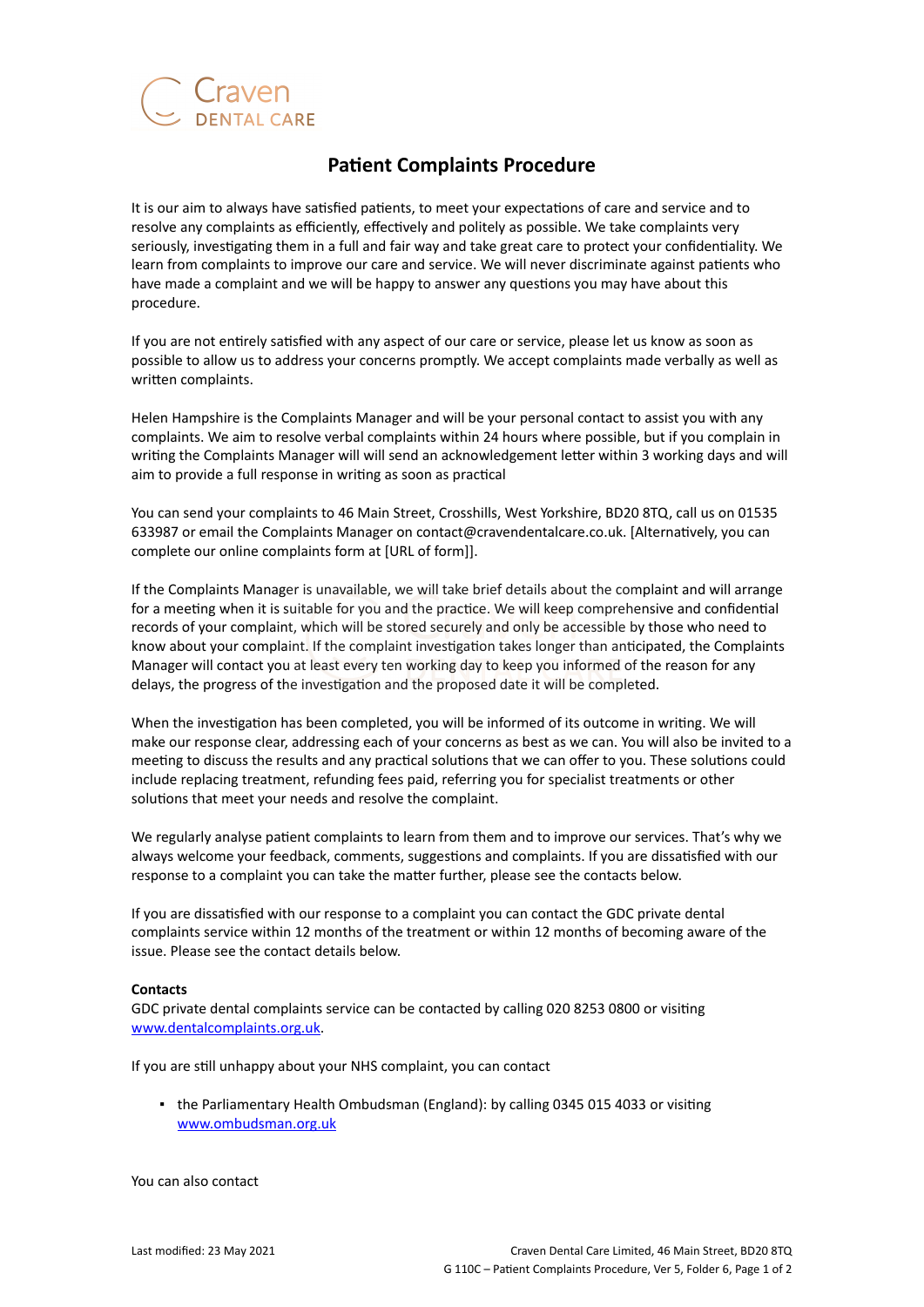

## **Patient Complaints Procedure**

It is our aim to always have satisfied patients, to meet your expectations of care and service and to resolve any complaints as efficiently, effectively and politely as possible. We take complaints very seriously, investigating them in a full and fair way and take great care to protect your confidentiality. We learn from complaints to improve our care and service. We will never discriminate against patients who have made a complaint and we will be happy to answer any questions you may have about this procedure.

If you are not entirely satisfied with any aspect of our care or service, please let us know as soon as possible to allow us to address your concerns promptly. We accept complaints made verbally as well as written complaints.

Helen Hampshire is the Complaints Manager and will be your personal contact to assist you with any complaints. We aim to resolve verbal complaints within 24 hours where possible, but if you complain in writing the Complaints Manager will will send an acknowledgement letter within 3 working days and will aim to provide a full response in writing as soon as practical

You can send your complaints to 46 Main Street, Crosshills, West Yorkshire, BD20 8TQ, call us on 01535 633987 or email the Complaints Manager on contact@cravendentalcare.co.uk. [Alternatively, you can complete our online complaints form at [URL of form]].

If the Complaints Manager is unavailable, we will take brief details about the complaint and will arrange for a meeting when it is suitable for you and the practice. We will keep comprehensive and confidential records of your complaint, which will be stored securely and only be accessible by those who need to know about your complaint. If the complaint investigation takes longer than anticipated, the Complaints Manager will contact you at least every ten working day to keep you informed of the reason for any delays, the progress of the investigation and the proposed date it will be completed.

When the investigation has been completed, you will be informed of its outcome in writing. We will make our response clear, addressing each of your concerns as best as we can. You will also be invited to a meeting to discuss the results and any practical solutions that we can offer to you. These solutions could include replacing treatment, refunding fees paid, referring you for specialist treatments or other solutions that meet your needs and resolve the complaint.

We regularly analyse patient complaints to learn from them and to improve our services. That's why we always welcome your feedback, comments, suggestions and complaints. If you are dissatisfied with our response to a complaint you can take the matter further, please see the contacts below.

If you are dissatisfied with our response to a complaint you can contact the GDC private dental complaints service within 12 months of the treatment or within 12 months of becoming aware of the issue. Please see the contact details below.

## **Contacts**

GDC private dental complaints service can be contacted by calling 020 8253 0800 or visiting [www.dentalcomplaints.org.uk.](http://www.dentalcomplaints.org.uk/)

If you are still unhappy about your NHS complaint, you can contact

▪ the Parliamentary Health Ombudsman (England): by calling 0345 015 4033 or visiting [www.ombudsman.org.uk](http://www.ombudsman.org.uk/)

You can also contact